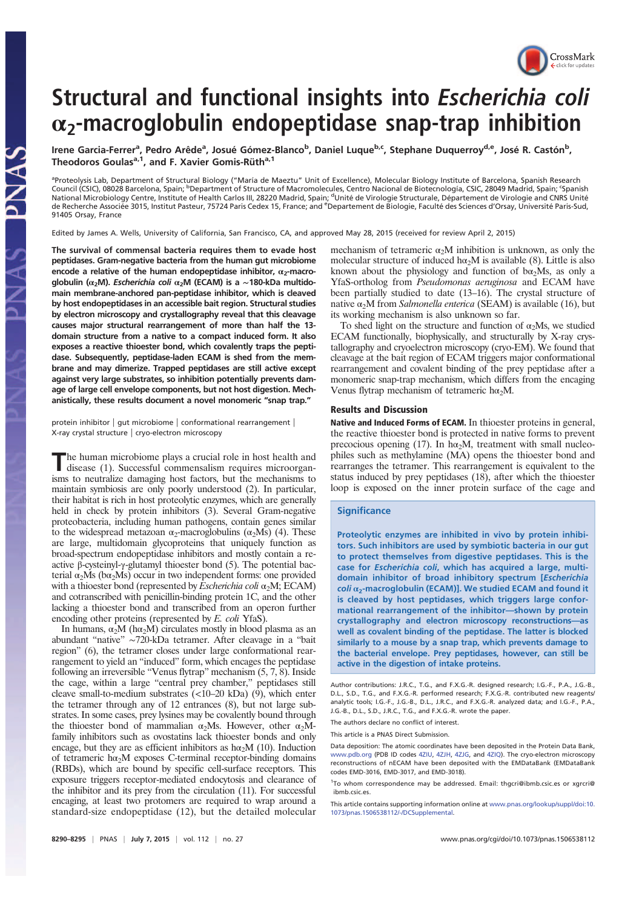

# Structural and functional insights into Escherichia coli  $\alpha_2$ -macroglobulin endopeptidase snap-trap inhibition

Irene Garcia-Ferrer<sup>a</sup>, Pedro Arêde<sup>a</sup>, Josué Gómez-Blanco<sup>b</sup>, Daniel Luque<sup>b,c</sup>, Stephane Duquerroy<sup>d,e</sup>, José R. Castón<sup>b</sup>, Theodoros Goulas<sup>a,1</sup>, and F. Xavier Gomis-Rüth<sup>a,1</sup>

aproteolysis Lab, Department of Structural Biology ("María de Maeztu" Unit of Excellence), Molecular Biology Institute of Barcelona, Spanish Research Council (CSIC), 08028 Barcelona, Spain; <sup>b</sup>Department of Structure of Macromolecules, Centro Nacional de Biotecnología, CSIC, 28049 Madrid, Spain; <sup>c</sup>Spanish<br>National Microbiology Centre, Institute of Health Carlos III, 28 de Recherche Associée 3015, Institut Pasteur, 75724 Paris Cedex 15, France; and <sup>e</sup>Departement de Biologie, Faculté des Sciences d'Orsay, Université Paris-Sud, 91405 Orsay, France

Edited by James A. Wells, University of California, San Francisco, CA, and approved May 28, 2015 (received for review April 2, 2015)

The survival of commensal bacteria requires them to evade host peptidases. Gram-negative bacteria from the human gut microbiome encode a relative of the human endopeptidase inhibitor,  $\alpha_2$ -macroglobulin ( $\alpha_2$ M). Escherichia coli  $\alpha_2$ M (ECAM) is a ~180-kDa multidomain membrane-anchored pan-peptidase inhibitor, which is cleaved by host endopeptidases in an accessible bait region. Structural studies by electron microscopy and crystallography reveal that this cleavage causes major structural rearrangement of more than half the 13 domain structure from a native to a compact induced form. It also exposes a reactive thioester bond, which covalently traps the peptidase. Subsequently, peptidase-laden ECAM is shed from the membrane and may dimerize. Trapped peptidases are still active except against very large substrates, so inhibition potentially prevents damage of large cell envelope components, but not host digestion. Mechanistically, these results document a novel monomeric "snap trap."

protein inhibitor | gut microbiome | conformational rearrangement | X-ray crystal structure | cryo-electron microscopy

The human microbiome plays a crucial role in host health and disease (1). Successful commensalism requires microorgandisease (1). Successful commensalism requires microorganisms to neutralize damaging host factors, but the mechanisms to maintain symbiosis are only poorly understood (2). In particular, their habitat is rich in host proteolytic enzymes, which are generally held in check by protein inhibitors (3). Several Gram-negative proteobacteria, including human pathogens, contain genes similar to the widespread metazoan  $\alpha_2$ -macroglobulins ( $\alpha_2$ Ms) (4). These are large, multidomain glycoproteins that uniquely function as broad-spectrum endopeptidase inhibitors and mostly contain a reactive β-cysteinyl-γ-glutamyl thioester bond (5). The potential bacterial  $\alpha_2$ Ms ( $b\alpha_2$ Ms) occur in two independent forms: one provided with a thioester bond (represented by *Escherichia coli*  $\alpha_2$ M; ECAM) and cotranscribed with penicillin-binding protein 1C, and the other lacking a thioester bond and transcribed from an operon further encoding other proteins (represented by E. coli YfaS).

In humans,  $\alpha_2 M$  (h $\alpha_2 M$ ) circulates mostly in blood plasma as an abundant "native" ∼720-kDa tetramer. After cleavage in a "bait region" (6), the tetramer closes under large conformational rearrangement to yield an "induced" form, which encages the peptidase following an irreversible "Venus flytrap" mechanism (5, 7, 8). Inside the cage, within a large "central prey chamber," peptidases still cleave small-to-medium substrates  $\left($  <10–20 kDa) (9), which enter the tetramer through any of 12 entrances (8), but not large substrates. In some cases, prey lysines may be covalently bound through the thioester bond of mammalian  $\alpha_2$ Ms. However, other  $\alpha_2$ Mfamily inhibitors such as ovostatins lack thioester bonds and only encage, but they are as efficient inhibitors as h $\alpha_2$ M (10). Induction of tetrameric  $h\alpha_2M$  exposes C-terminal receptor-binding domains (RBDs), which are bound by specific cell-surface receptors. This exposure triggers receptor-mediated endocytosis and clearance of the inhibitor and its prey from the circulation (11). For successful encaging, at least two protomers are required to wrap around a standard-size endopeptidase (12), but the detailed molecular mechanism of tetrameric  $\alpha_2 M$  inhibition is unknown, as only the molecular structure of induced  $h\alpha_2M$  is available (8). Little is also known about the physiology and function of  $b\alpha_2 Ms$ , as only a YfaS-ortholog from Pseudomonas aeruginosa and ECAM have been partially studied to date (13–16). The crystal structure of native  $\alpha_2$ M from Salmonella enterica (SEAM) is available (16), but its working mechanism is also unknown so far.

To shed light on the structure and function of  $\alpha_2$ Ms, we studied ECAM functionally, biophysically, and structurally by X-ray crystallography and cryoelectron microscopy (cryo-EM). We found that cleavage at the bait region of ECAM triggers major conformational rearrangement and covalent binding of the prey peptidase after a monomeric snap-trap mechanism, which differs from the encaging Venus flytrap mechanism of tetrameric h $\alpha_2$ M.

## Results and Discussion

Native and Induced Forms of ECAM. In thioester proteins in general, the reactive thioester bond is protected in native forms to prevent precocious opening (17). In h $\alpha_2$ M, treatment with small nucleophiles such as methylamine (MA) opens the thioester bond and rearranges the tetramer. This rearrangement is equivalent to the status induced by prey peptidases (18), after which the thioester loop is exposed on the inner protein surface of the cage and

## **Significance**

Proteolytic enzymes are inhibited in vivo by protein inhibitors. Such inhibitors are used by symbiotic bacteria in our gut to protect themselves from digestive peptidases. This is the case for Escherichia coli, which has acquired a large, multidomain inhibitor of broad inhibitory spectrum [Escherichia  $coli$   $\alpha_2$ -macroglobulin (ECAM)]. We studied ECAM and found it is cleaved by host peptidases, which triggers large conformational rearrangement of the inhibitor—shown by protein crystallography and electron microscopy reconstructions—as well as covalent binding of the peptidase. The latter is blocked similarly to a mouse by a snap trap, which prevents damage to the bacterial envelope. Prey peptidases, however, can still be active in the digestion of intake proteins.

Author contributions: J.R.C., T.G., and F.X.G.-R. designed research; I.G.-F., P.A., J.G.-B., D.L., S.D., T.G., and F.X.G.-R. performed research; F.X.G.-R. contributed new reagents/ analytic tools; I.G.-F., J.G.-B., D.L., J.R.C., and F.X.G.-R. analyzed data; and I.G.-F., P.A., J.G.-B., D.L., S.D., J.R.C., T.G., and F.X.G.-R. wrote the paper.

The authors declare no conflict of interest.

This article is a PNAS Direct Submission.

Data deposition: The atomic coordinates have been deposited in the Protein Data Bank, www.pdb.org (PDB ID codes 4ZIU, 4ZJH, 4ZJG, and 4ZIQ). The cryo-electron microscopy reconstructions of nECAM have been deposited with the EMDataBank (EMDataBank codes EMD-3016, EMD-3017, and EMD-3018).

<sup>1</sup>To whom correspondence may be addressed. Email: thgcri@ibmb.csic.es or xgrcri@ ibmb.csic.es

This article contains supporting information online at www.pnas.org/lookup/suppl/doi:10. 1073/pnas.1506538112/-/DCSupplemental.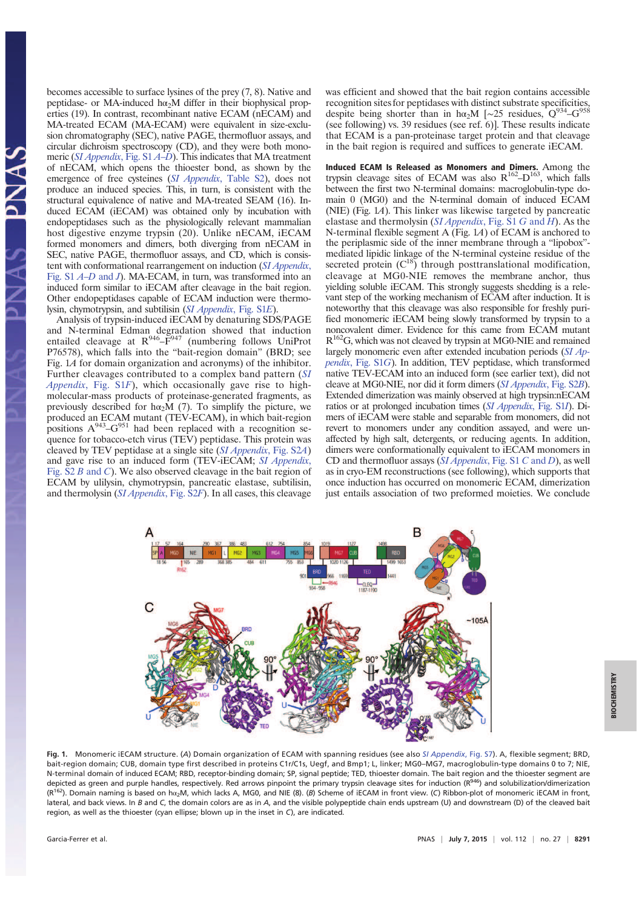becomes accessible to surface lysines of the prey (7, 8). Native and peptidase- or MA-induced h $\alpha_2$ M differ in their biophysical properties (19). In contrast, recombinant native ECAM (nECAM) and MA-treated ECAM (MA-ECAM) were equivalent in size-exclusion chromatography (SEC), native PAGE, thermofluor assays, and circular dichroism spectroscopy (CD), and they were both monomeric (SI Appendix, Fig. S1 A–D). This indicates that MA treatment of nECAM, which opens the thioester bond, as shown by the emergence of free cysteines (SI Appendix, Table S2), does not produce an induced species. This, in turn, is consistent with the structural equivalence of native and MA-treated SEAM (16). Induced ECAM (iECAM) was obtained only by incubation with endopeptidases such as the physiologically relevant mammalian host digestive enzyme trypsin (20). Unlike nECAM, iECAM formed monomers and dimers, both diverging from nECAM in SEC, native PAGE, thermofluor assays, and CD, which is consistent with conformational rearrangement on induction (SI Appendix, Fig. S1 A–D and J). MA-ECAM, in turn, was transformed into an induced form similar to iECAM after cleavage in the bait region. Other endopeptidases capable of ECAM induction were thermolysin, chymotrypsin, and subtilisin (SI Appendix, Fig. S1E).

Analysis of trypsin-induced iECAM by denaturing SDS/PAGE and N-terminal Edman degradation showed that induction entailed cleavage at  $R^{946} - \overline{F}^{947}$  (numbering follows UniProt P76578), which falls into the "bait-region domain" (BRD; see Fig. 1A for domain organization and acronyms) of the inhibitor. Further cleavages contributed to a complex band pattern (SI Appendix, Fig. S1F), which occasionally gave rise to highmolecular-mass products of proteinase-generated fragments, as previously described for h $\alpha_2 M$  (7). To simplify the picture, we produced an ECAM mutant (TEV-ECAM), in which bait-region positions  $A^{943}$ - $G^{951}$  had been replaced with a recognition sequence for tobacco-etch virus (TEV) peptidase. This protein was cleaved by TEV peptidase at a single site (SI Appendix, Fig. S2A) and gave rise to an induced form (TEV-iECAM; SI Appendix, Fig. S2 B and C). We also observed cleavage in the bait region of ECAM by ulilysin, chymotrypsin, pancreatic elastase, subtilisin, and thermolysin (SI Appendix, Fig. S2F). In all cases, this cleavage

was efficient and showed that the bait region contains accessible recognition sites for peptidases with distinct substrate specificities, despite being shorter than in hα<sub>2</sub>M [∼25 residues, Q<sup>934</sup>–G<sup>958</sup> (see following) vs. 39 residues (see ref. 6)]. These results indicate that ECAM is a pan-proteinase target protein and that cleavage in the bait region is required and suffices to generate iECAM.

Induced ECAM Is Released as Monomers and Dimers. Among the trypsin cleavage sites of ECAM was also  $R^{162} - D^{163}$ , which falls between the first two N-terminal domains: macroglobulin-type domain 0 (MG0) and the N-terminal domain of induced ECAM (NIE) (Fig.  $14$ ). This linker was likewise targeted by pancreatic elastase and thermolysin ( $SI$  Appendix, Fig. S1 G and H). As the N-terminal flexible segment A (Fig. 1A) of ECAM is anchored to the periplasmic side of the inner membrane through a "lipobox" mediated lipidic linkage of the N-terminal cysteine residue of the secreted protein  $(C^{18})$  through posttranslational modification, cleavage at MG0-NIE removes the membrane anchor, thus yielding soluble iECAM. This strongly suggests shedding is a relevant step of the working mechanism of ECAM after induction. It is noteworthy that this cleavage was also responsible for freshly purified monomeric iECAM being slowly transformed by trypsin to a noncovalent dimer. Evidence for this came from ECAM mutant  $R^{162}$ G, which was not cleaved by trypsin at MG0-NIE and remained largely monomeric even after extended incubation periods (SI Appendix, Fig. S1G). In addition, TEV peptidase, which transformed native TEV-ECAM into an induced form (see earlier text), did not cleave at MG0-NIE, nor did it form dimers (SI Appendix, Fig. S2B). Extended dimerization was mainly observed at high trypsin:nECAM ratios or at prolonged incubation times (SI Appendix, Fig. S1I). Dimers of iECAM were stable and separable from monomers, did not revert to monomers under any condition assayed, and were unaffected by high salt, detergents, or reducing agents. In addition, dimers were conformationally equivalent to iECAM monomers in CD and thermofluor assays  $(SI$  *Appendix*, Fig. S1 C and D), as well as in cryo-EM reconstructions (see following), which supports that once induction has occurred on monomeric ECAM, dimerization just entails association of two preformed moieties. We conclude



Fig. 1. Monomeric iECAM structure. (A) Domain organization of ECAM with spanning residues (see also SI Appendix, Fig. S7). A, flexible segment: BRD, bait-region domain; CUB, domain type first described in proteins C1r/C1s, Uegf, and Bmp1; L, linker; MG0–MG7, macroglobulin-type domains 0 to 7; NIE, N-terminal domain of induced ECAM; RBD, receptor-binding domain; SP, signal peptide; TED, thioester domain. The bait region and the thioester segment are depicted as green and purple handles, respectively. Red arrows pinpoint the primary trypsin cleavage sites for induction (R<sup>946</sup>) and solubilization/dimerization <sup>2</sup>). Domain naming is based on hα<sub>2</sub>M, which lacks A, MG0, and NIE (8). (β) Scheme of iECAM in front view. (C) Ribbon-plot of monomeric iECAM in front, lateral, and back views. In B and C, the domain colors are as in A, and the visible polypeptide chain ends upstream (U) and downstream (D) of the cleaved bait region, as well as the thioester (cyan ellipse; blown up in the inset in C), are indicated.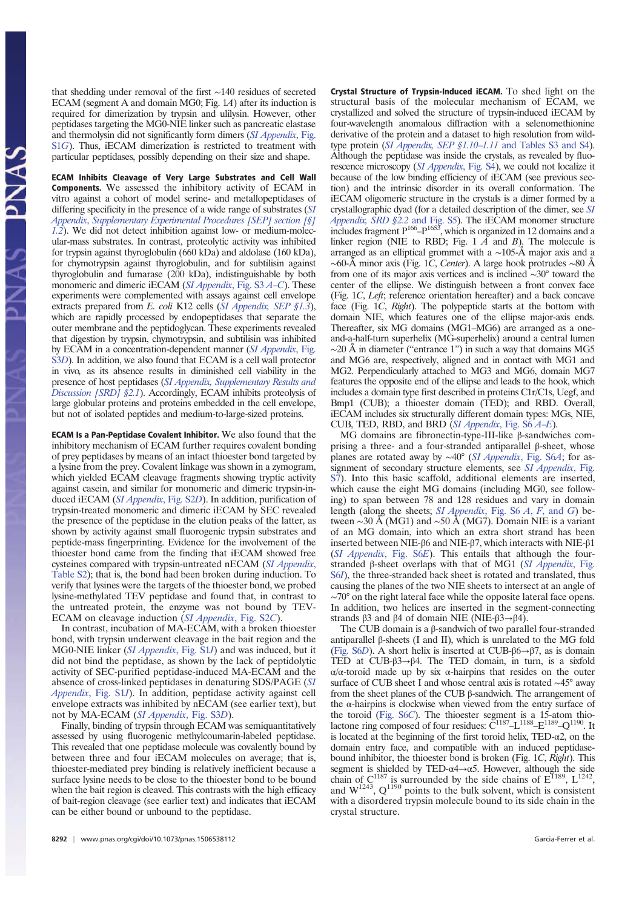that shedding under removal of the first ∼140 residues of secreted ECAM (segment A and domain MG0; Fig. 1A) after its induction is required for dimerization by trypsin and ulilysin. However, other peptidases targeting the MG0-NIE linker such as pancreatic elastase and thermolysin did not significantly form dimers (SI Appendix, Fig. S1G). Thus, iECAM dimerization is restricted to treatment with particular peptidases, possibly depending on their size and shape.

ECAM Inhibits Cleavage of Very Large Substrates and Cell Wall Components. We assessed the inhibitory activity of ECAM in vitro against a cohort of model serine- and metallopeptidases of differing specificity in the presence of a wide range of substrates (SI Appendix, Supplementary Experimental Procedures [SEP] section [§]  $1.2$ ). We did not detect inhibition against low- or medium-molecular-mass substrates. In contrast, proteolytic activity was inhibited for trypsin against thyroglobulin (660 kDa) and aldolase (160 kDa), for chymotrypsin against thyroglobulin, and for subtilisin against thyroglobulin and fumarase (200 kDa), indistinguishable by both monomeric and dimeric iECAM (SI Appendix, Fig. S3 A–C). These experiments were complemented with assays against cell envelope extracts prepared from E. coli K12 cells (SI Appendix, SEP §1.3), which are rapidly processed by endopeptidases that separate the outer membrane and the peptidoglycan. These experiments revealed that digestion by trypsin, chymotrypsin, and subtilisin was inhibited by ECAM in a concentration-dependent manner (SI Appendix, Fig. S3D). In addition, we also found that ECAM is a cell wall protector in vivo, as its absence results in diminished cell viability in the presence of host peptidases (SI Appendix, Supplementary Results and Discussion [SRD] §2.1). Accordingly, ECAM inhibits proteolysis of large globular proteins and proteins embedded in the cell envelope, but not of isolated peptides and medium-to-large-sized proteins.

ECAM Is a Pan-Peptidase Covalent Inhibitor. We also found that the inhibitory mechanism of ECAM further requires covalent bonding of prey peptidases by means of an intact thioester bond targeted by a lysine from the prey. Covalent linkage was shown in a zymogram, which yielded ECAM cleavage fragments showing tryptic activity against casein, and similar for monomeric and dimeric trypsin-induced iECAM (SI Appendix, Fig. S2D). In addition, purification of trypsin-treated monomeric and dimeric iECAM by SEC revealed the presence of the peptidase in the elution peaks of the latter, as shown by activity against small fluorogenic trypsin substrates and peptide-mass fingerprinting. Evidence for the involvement of the thioester bond came from the finding that iECAM showed free cysteines compared with trypsin-untreated nECAM (SI Appendix, Table S2); that is, the bond had been broken during induction. To verify that lysines were the targets of the thioester bond, we probed lysine-methylated TEV peptidase and found that, in contrast to the untreated protein, the enzyme was not bound by TEV-ECAM on cleavage induction (SI Appendix, Fig. S2C).

In contrast, incubation of MA-ECAM, with a broken thioester bond, with trypsin underwent cleavage in the bait region and the MG0-NIE linker (SI Appendix, Fig. S1J) and was induced, but it did not bind the peptidase, as shown by the lack of peptidolytic activity of SEC-purified peptidase-induced MA-ECAM and the absence of cross-linked peptidases in denaturing SDS/PAGE (SI Appendix, Fig. S1J). In addition, peptidase activity against cell envelope extracts was inhibited by nECAM (see earlier text), but not by MA-ECAM (SI Appendix, Fig. S3D).

Finally, binding of trypsin through ECAM was semiquantitatively assessed by using fluorogenic methylcoumarin-labeled peptidase. This revealed that one peptidase molecule was covalently bound by between three and four iECAM molecules on average; that is, thioester-mediated prey binding is relatively inefficient because a surface lysine needs to be close to the thioester bond to be bound when the bait region is cleaved. This contrasts with the high efficacy of bait-region cleavage (see earlier text) and indicates that iECAM can be either bound or unbound to the peptidase.

Crystal Structure of Trypsin-Induced iECAM. To shed light on the structural basis of the molecular mechanism of ECAM, we crystallized and solved the structure of trypsin-induced iECAM by four-wavelength anomalous diffraction with a selenomethionine derivative of the protein and a dataset to high resolution from wildtype protein (SI Appendix, SEP §1.10–1.11 and Tables S3 and S4). Although the peptidase was inside the crystals, as revealed by fluorescence microscopy (SI Appendix, Fig. S4), we could not localize it because of the low binding efficiency of iECAM (see previous section) and the intrinsic disorder in its overall conformation. The iECAM oligomeric structure in the crystals is a dimer formed by a crystallographic dyad (for a detailed description of the dimer, see SI *Appendix, SRD §2.2* and Fig. S5). The iECAM monomer structure includes fragment  $P^{166} - P^{1653}$ , which is organized in 12 domains and a linker region (NIE to RBD; Fig. 1  $\overrightarrow{A}$  and  $\overrightarrow{B}$ ). The molecule is arranged as an elliptical grommet with a ∼105-Å major axis and a ∼60-Å minor axis (Fig. 1C, Center). A large hook protrudes ∼80 Å from one of its major axis vertices and is inclined ∼30° toward the center of the ellipse. We distinguish between a front convex face (Fig. 1C, Left; reference orientation hereafter) and a back concave face (Fig. 1C, Right). The polypeptide starts at the bottom with domain NIE, which features one of the ellipse major-axis ends. Thereafter, six MG domains (MG1–MG6) are arranged as a oneand-a-half-turn superhelix (MG-superhelix) around a central lumen  $\sim$ 20 Å in diameter ("entrance 1") in such a way that domains MG5 and MG6 are, respectively, aligned and in contact with MG1 and MG2. Perpendicularly attached to MG3 and MG6, domain MG7 features the opposite end of the ellipse and leads to the hook, which includes a domain type first described in proteins C1r/C1s, Uegf, and Bmp1 (CUB); a thioester domain (TED); and RBD. Overall, iECAM includes six structurally different domain types: MGs, NIE, CUB, TED, RBD, and BRD (SI Appendix, Fig. S6 A–E).

MG domains are fibronectin-type-III-like β-sandwiches comprising a three- and a four-stranded antiparallel β-sheet, whose planes are rotated away by ∼40° (SI Appendix, Fig. S6A; for assignment of secondary structure elements, see SI Appendix, Fig. S7). Into this basic scaffold, additional elements are inserted, which cause the eight MG domains (including MG0, see following) to span between 78 and 128 residues and vary in domain length (along the sheets; SI Appendix, Fig. S6 A, F, and G) between ∼30 Å (MG1) and ∼50 Å (MG7). Domain NIE is a variant of an MG domain, into which an extra short strand has been inserted between NIE-β6 and NIE-β7, which interacts with NIE-β1 (SI Appendix, Fig. S6E). This entails that although the fourstranded β-sheet overlaps with that of MG1 (SI Appendix, Fig. S6I), the three-stranded back sheet is rotated and translated, thus causing the planes of the two NIE sheets to intersect at an angle of ∼70° on the right lateral face while the opposite lateral face opens. In addition, two helices are inserted in the segment-connecting strands β3 and β4 of domain NIE (NIE-β3→β4).

The CUB domain is a β-sandwich of two parallel four-stranded antiparallel β-sheets (I and II), which is unrelated to the MG fold (Fig. S6D). A short helix is inserted at CUB- $\beta$ 6 $\rightarrow$  $\beta$ 7, as is domain TED at CUB-β3→β4. The TED domain, in turn, is a sixfold α/α-toroid made up by six α-hairpins that resides on the outer surface of CUB sheet I and whose central axis is rotated ∼45° away from the sheet planes of the CUB β-sandwich. The arrangement of the α-hairpins is clockwise when viewed from the entry surface of the toroid (Fig. S6C). The thioester segment is a 15-atom thio-<br>lactone ring composed of four residues:  $C^{1187} - L^{1188} - Q^{1190}$ . It is located at the beginning of the first toroid helix,  $TED-\alpha2$ , on the domain entry face, and compatible with an induced peptidasebound inhibitor, the thioester bond is broken (Fig. 1C, Right). This segment is shielded by TED- $\alpha$ 4 $\rightarrow$  $\alpha$ 5. However, although the side chain of  $C^{1187}$  is surrounded by the side chains of  $E^{1189}$ ,  $L^{1242}$ , and  $W^{1243}$ ,  $Q^{1190}$  points to the bulk solvent, which is consistent with a disordered trypsin molecule bound to its side chain in the crystal structure.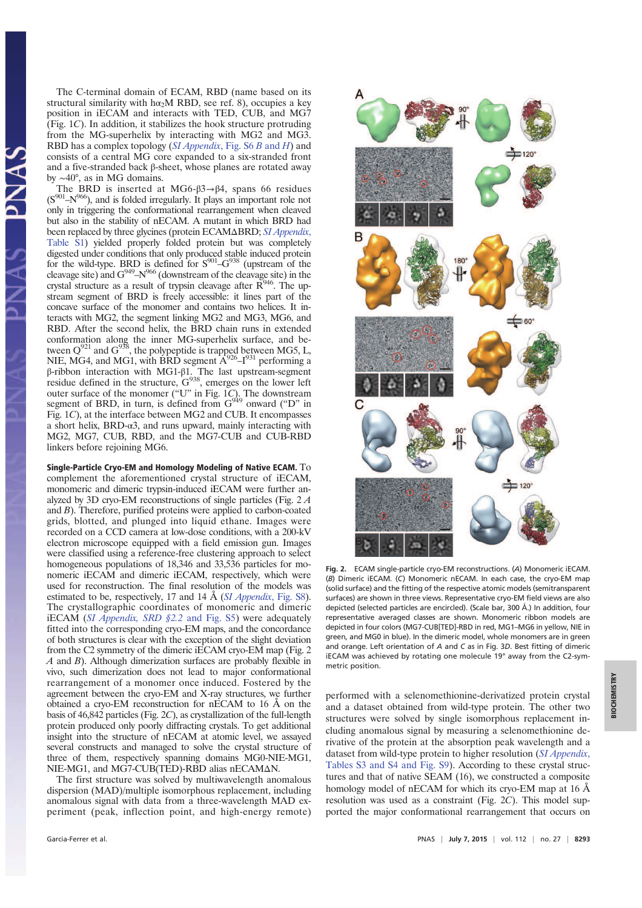The C-terminal domain of ECAM, RBD (name based on its structural similarity with hα<sub>2</sub>M RBD, see ref. 8), occupies a key position in iECAM and interacts with TED, CUB, and MG7 (Fig. 1C). In addition, it stabilizes the hook structure protruding from the MG-superhelix by interacting with MG2 and MG3. RBD has a complex topology (SI Appendix, Fig. S6 B and H) and consists of a central MG core expanded to a six-stranded front and a five-stranded back β-sheet, whose planes are rotated away by ∼40°, as in MG domains.

The BRD is inserted at MG6- $\beta$ 3→β4, spans 66 residues  $(S<sup>901</sup>-N<sup>966</sup>)$ , and is folded irregularly. It plays an important role not only in triggering the conformational rearrangement when cleaved but also in the stability of nECAM. A mutant in which BRD had been replaced by three glycines (protein ECAMΔBRD; SI Appendix, Table S1) yielded properly folded protein but was completely digested under conditions that only produced stable induced protein for the wild-type. BRD is defined for  $S^{901}$ - $G^{938}$  (upstream of the cleavage site) and  $G^{949} - N^{966}$  (downstream of the cleavage site) in the crystal structure as a result of trypsin cleavage after  $\overline{R}^{946}$ . The upstream segment of BRD is freely accessible: it lines part of the concave surface of the monomer and contains two helices. It interacts with MG2, the segment linking MG2 and MG3, MG6, and RBD. After the second helix, the BRD chain runs in extended conformation along the inner MG-superhelix surface, and between  $Q^{921}$  and  $G^{938}$ , the polypeptide is trapped between MG5, L, NIE, MG4, and MG1, with BRD segment  $A^{926}$ -I<sup>931</sup> performing a β-ribbon interaction with MG1-β1. The last upstream-segment residue defined in the structure,  $G^{938}$ , emerges on the lower left outer surface of the monomer ("U" in Fig. 1C). The downstream segment of BRD, in turn, is defined from  $G^{949}$  onward ("D" in Fig. 1C), at the interface between MG2 and CUB. It encompasses a short helix, BRD-α3, and runs upward, mainly interacting with MG2, MG7, CUB, RBD, and the MG7-CUB and CUB-RBD linkers before rejoining MG6.

Single-Particle Cryo-EM and Homology Modeling of Native ECAM. To complement the aforementioned crystal structure of iECAM, monomeric and dimeric trypsin-induced iECAM were further analyzed by 3D cryo-EM reconstructions of single particles (Fig. 2 A and B). Therefore, purified proteins were applied to carbon-coated grids, blotted, and plunged into liquid ethane. Images were recorded on a CCD camera at low-dose conditions, with a 200-kV electron microscope equipped with a field emission gun. Images were classified using a reference-free clustering approach to select homogeneous populations of 18,346 and 33,536 particles for monomeric iECAM and dimeric iECAM, respectively, which were used for reconstruction. The final resolution of the models was estimated to be, respectively, 17 and 14  $\AA$  (*SI Appendix*, Fig. S8). The crystallographic coordinates of monomeric and dimeric iECAM (SI Appendix, SRD §2.2 and Fig. S5) were adequately fitted into the corresponding cryo-EM maps, and the concordance of both structures is clear with the exception of the slight deviation from the C2 symmetry of the dimeric iECAM cryo-EM map (Fig. 2  $A$  and  $B$ ). Although dimerization surfaces are probably flexible in vivo, such dimerization does not lead to major conformational rearrangement of a monomer once induced. Fostered by the agreement between the cryo-EM and X-ray structures, we further obtained a cryo-EM reconstruction for nECAM to 16 Å on the basis of 46,842 particles (Fig. 2C), as crystallization of the full-length protein produced only poorly diffracting crystals. To get additional insight into the structure of nECAM at atomic level, we assayed several constructs and managed to solve the crystal structure of three of them, respectively spanning domains MG0-NIE-MG1, NIE-MG1, and MG7-CUB(TED)-RBD alias nECAMΔN.

The first structure was solved by multiwavelength anomalous dispersion (MAD)/multiple isomorphous replacement, including anomalous signal with data from a three-wavelength MAD experiment (peak, inflection point, and high-energy remote)



Fig. 2. ECAM single-particle cryo-EM reconstructions. (A) Monomeric iECAM. (B) Dimeric iECAM. (C) Monomeric nECAM. In each case, the cryo-EM map (solid surface) and the fitting of the respective atomic models (semitransparent surfaces) are shown in three views. Representative cryo-EM field views are also depicted (selected particles are encircled). (Scale bar, 300 Å.) In addition, four representative averaged classes are shown. Monomeric ribbon models are depicted in four colors (MG7-CUB[TED]-RBD in red, MG1–MG6 in yellow, NIE in green, and MG0 in blue). In the dimeric model, whole monomers are in green and orange. Left orientation of A and C as in Fig. 3D. Best fitting of dimeric iECAM was achieved by rotating one molecule 19° away from the C2-symmetric position.

performed with a selenomethionine-derivatized protein crystal and a dataset obtained from wild-type protein. The other two structures were solved by single isomorphous replacement including anomalous signal by measuring a selenomethionine derivative of the protein at the absorption peak wavelength and a dataset from wild-type protein to higher resolution (SI Appendix, Tables S3 and S4 and Fig. S9). According to these crystal structures and that of native SEAM (16), we constructed a composite homology model of nECAM for which its cryo-EM map at 16 Å resolution was used as a constraint (Fig. 2C). This model supported the major conformational rearrangement that occurs on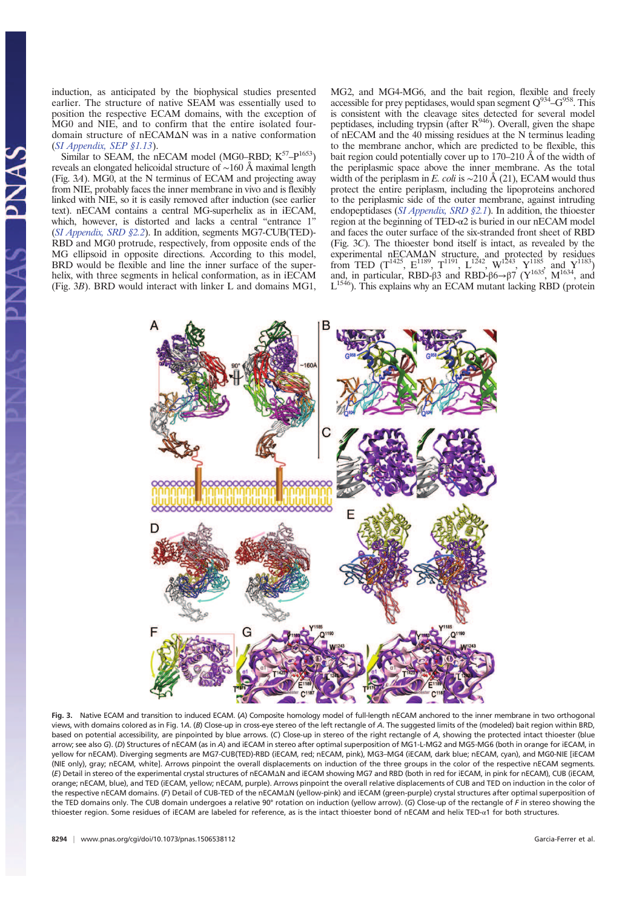induction, as anticipated by the biophysical studies presented earlier. The structure of native SEAM was essentially used to position the respective ECAM domains, with the exception of MG0 and NIE, and to confirm that the entire isolated fourdomain structure of nECAMΔN was in a native conformation (SI Appendix, SEP §1.13).

Similar to SEAM, the nECAM model (MG0–RBD;  $K^{57} - P^{1653}$ ) reveals an elongated helicoidal structure of ∼160 Å maximal length (Fig. 3A). MG0, at the N terminus of ECAM and projecting away from NIE, probably faces the inner membrane in vivo and is flexibly linked with NIE, so it is easily removed after induction (see earlier text). nECAM contains a central MG-superhelix as in iECAM, which, however, is distorted and lacks a central "entrance 1" (SI Appendix, SRD §2.2). In addition, segments MG7-CUB(TED)- RBD and MG0 protrude, respectively, from opposite ends of the MG ellipsoid in opposite directions. According to this model, BRD would be flexible and line the inner surface of the superhelix, with three segments in helical conformation, as in iECAM (Fig. 3B). BRD would interact with linker L and domains MG1,

MG2, and MG4-MG6, and the bait region, flexible and freely accessible for prey peptidases, would span segment  $Q^{934}$ -G<sup>958</sup>. This is consistent with the cleavage sites detected for several model peptidases, including trypsin (after  $R^{946}$ ). Overall, given the shape of nECAM and the 40 missing residues at the N terminus leading to the membrane anchor, which are predicted to be flexible, this bait region could potentially cover up to 170–210 Å of the width of the periplasmic space above the inner membrane. As the total width of the periplasm in E. coli is ~210 Å (21), ECAM would thus protect the entire periplasm, including the lipoproteins anchored to the periplasmic side of the outer membrane, against intruding endopeptidases (SI Appendix, SRD §2.1). In addition, the thioester region at the beginning of TED-α2 is buried in our nECAM model and faces the outer surface of the six-stranded front sheet of RBD (Fig. 3C). The thioester bond itself is intact, as revealed by the experimental nECAM $\Delta N$  structure, and protected by residues from TED ( $T^{1425}$ ,  $E^{1189}$ ,  $T^{1191}$ ,  $L^{1242}$ ,  $W^{1243}$ ,  $Y^{1185}$ , and  $Y^{1183}$ ) and, in particular, RBD-β3 and RBD-β6→β7 ( $Y^{1635}$ , M<sup>1634</sup>, and  $L^{1546}$ ). This explains why an ECAM mutant lacking RBD (protein



Fig. 3. Native ECAM and transition to induced ECAM. (A) Composite homology model of full-length nECAM anchored to the inner membrane in two orthogonal views, with domains colored as in Fig. 1A. (B) Close-up in cross-eye stereo of the left rectangle of A. The suggested limits of the (modeled) bait region within BRD, based on potential accessibility, are pinpointed by blue arrows. (C) Close-up in stereo of the right rectangle of A, showing the protected intact thioester (blue arrow; see also G). (D) Structures of nECAM (as in A) and iECAM in stereo after optimal superposition of MG1-L-MG2 and MG5-MG6 (both in orange for iECAM, in yellow for nECAM). Diverging segments are MG7-CUB(TED)-RBD (iECAM, red; nECAM, pink), MG3–MG4 (iECAM, dark blue; nECAM, cyan), and MG0-NIE [iECAM (NIE only), gray; nECAM, white]. Arrows pinpoint the overall displacements on induction of the three groups in the color of the respective nECAM segments. (E) Detail in stereo of the experimental crystal structures of nECAMΔN and iECAM showing MG7 and RBD (both in red for iECAM, in pink for nECAM), CUB (iECAM, orange; nECAM, blue), and TED (iECAM, yellow; nECAM, purple). Arrows pinpoint the overall relative displacements of CUB and TED on induction in the color of the respective nECAM domains. (F) Detail of CUB-TED of the nECAMΔN (yellow-pink) and iECAM (green-purple) crystal structures after optimal superposition of the TED domains only. The CUB domain undergoes a relative 90° rotation on induction (yellow arrow). (G) Close-up of the rectangle of F in stereo showing the thioester region. Some residues of iECAM are labeled for reference, as is the intact thioester bond of nECAM and helix TED-α1 for both structures.